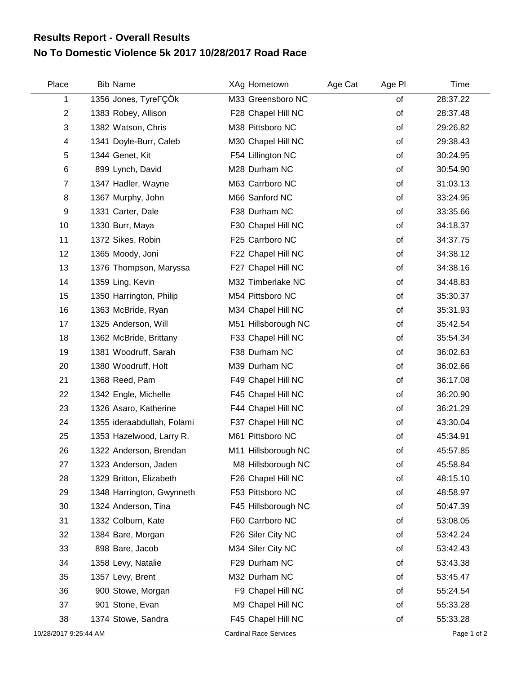## **No To Domestic Violence 5k 2017 10/28/2017 Road Race Results Report - Overall Results**

| Place          | <b>Bib Name</b>                   | XAg Hometown        | Age Cat | Age PI | Time     |  |
|----------------|-----------------------------------|---------------------|---------|--------|----------|--|
| 1              | 1356 Jones, Tyre <sub>r</sub> CÖk | M33 Greensboro NC   |         | of     | 28:37.22 |  |
| $\overline{2}$ | 1383 Robey, Allison               | F28 Chapel Hill NC  |         | of     | 28:37.48 |  |
| 3              | 1382 Watson, Chris                | M38 Pittsboro NC    |         | of     | 29:26.82 |  |
| 4              | 1341 Doyle-Burr, Caleb            | M30 Chapel Hill NC  |         | of     | 29:38.43 |  |
| 5              | 1344 Genet, Kit                   | F54 Lillington NC   |         | of     | 30:24.95 |  |
| 6              | 899 Lynch, David                  | M28 Durham NC       |         | of     | 30:54.90 |  |
| $\overline{7}$ | 1347 Hadler, Wayne                | M63 Carrboro NC     |         | of     | 31:03.13 |  |
| 8              | 1367 Murphy, John                 | M66 Sanford NC      |         | of     | 33:24.95 |  |
| 9              | 1331 Carter, Dale                 | F38 Durham NC       |         | of     | 33:35.66 |  |
| 10             | 1330 Burr, Maya                   | F30 Chapel Hill NC  |         | of     | 34:18.37 |  |
| 11             | 1372 Sikes, Robin                 | F25 Carrboro NC     |         | of     | 34:37.75 |  |
| 12             | 1365 Moody, Joni                  | F22 Chapel Hill NC  |         | of     | 34:38.12 |  |
| 13             | 1376 Thompson, Maryssa            | F27 Chapel Hill NC  |         | of     | 34:38.16 |  |
| 14             | 1359 Ling, Kevin                  | M32 Timberlake NC   |         | of     | 34:48.83 |  |
| 15             | 1350 Harrington, Philip           | M54 Pittsboro NC    |         | of     | 35:30.37 |  |
| 16             | 1363 McBride, Ryan                | M34 Chapel Hill NC  |         | of     | 35:31.93 |  |
| 17             | 1325 Anderson, Will               | M51 Hillsborough NC |         | of     | 35:42.54 |  |
| 18             | 1362 McBride, Brittany            | F33 Chapel Hill NC  |         | of     | 35:54.34 |  |
| 19             | 1381 Woodruff, Sarah              | F38 Durham NC       |         | of     | 36:02.63 |  |
| 20             | 1380 Woodruff, Holt               | M39 Durham NC       |         | of     | 36:02.66 |  |
| 21             | 1368 Reed, Pam                    | F49 Chapel Hill NC  |         | of     | 36:17.08 |  |
| 22             | 1342 Engle, Michelle              | F45 Chapel Hill NC  |         | of     | 36:20.90 |  |
| 23             | 1326 Asaro, Katherine             | F44 Chapel Hill NC  |         | of     | 36:21.29 |  |
| 24             | 1355 ideraabdullah, Folami        | F37 Chapel Hill NC  |         | of     | 43:30.04 |  |
| 25             | 1353 Hazelwood, Larry R.          | M61 Pittsboro NC    |         | of     | 45:34.91 |  |
| 26             | 1322 Anderson, Brendan            | M11 Hillsborough NC |         | of     | 45:57.85 |  |
| 27             | 1323 Anderson, Jaden              | M8 Hillsborough NC  |         | of     | 45:58.84 |  |
| 28             | 1329 Britton, Elizabeth           | F26 Chapel Hill NC  |         | of     | 48:15.10 |  |
| 29             | 1348 Harrington, Gwynneth         | F53 Pittsboro NC    |         | of     | 48:58.97 |  |
| 30             | 1324 Anderson, Tina               | F45 Hillsborough NC |         | οf     | 50:47.39 |  |
| 31             | 1332 Colburn, Kate                | F60 Carrboro NC     |         | of     | 53:08.05 |  |
| 32             | 1384 Bare, Morgan                 | F26 Siler City NC   |         | οf     | 53:42.24 |  |
| 33             | 898 Bare, Jacob                   | M34 Siler City NC   |         | of     | 53:42.43 |  |
| 34             | 1358 Levy, Natalie                | F29 Durham NC       |         | οf     | 53:43.38 |  |
| 35             | 1357 Levy, Brent                  | M32 Durham NC       |         | of     | 53:45.47 |  |
| 36             | 900 Stowe, Morgan                 | F9 Chapel Hill NC   |         | οf     | 55:24.54 |  |
| 37             | 901 Stone, Evan                   | M9 Chapel Hill NC   |         | οf     | 55:33.28 |  |
| 38             | 1374 Stowe, Sandra                | F45 Chapel Hill NC  |         | of     | 55:33.28 |  |